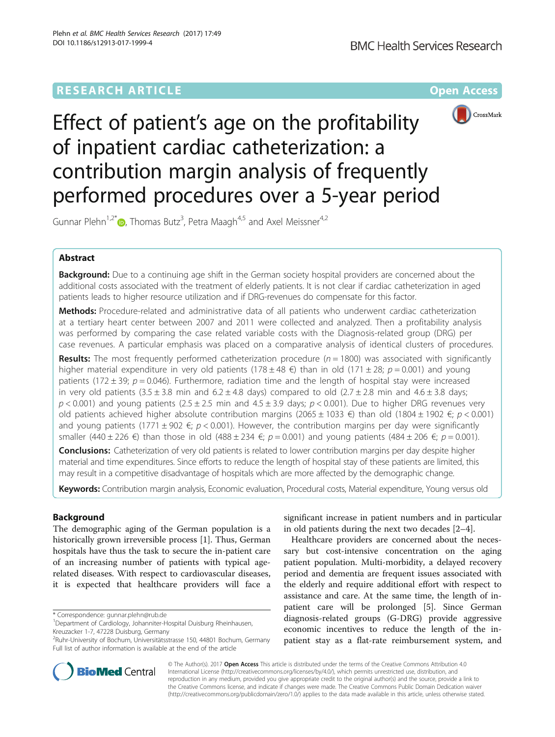## **RESEARCH ARTICLE Example 2014 12:30 The Contract of Contract ACCESS**



# Effect of patient's age on the profitability of inpatient cardiac catheterization: a contribution margin analysis of frequently performed procedures over a 5-year period

Gunnar Plehn<sup>1[,](http://orcid.org/0000-0001-9559-1162)2\*</sup> D, Thomas Butz<sup>3</sup>, Petra Maagh<sup>4,5</sup> and Axel Meissner<sup>4,2</sup>

## Abstract

Background: Due to a continuing age shift in the German society hospital providers are concerned about the additional costs associated with the treatment of elderly patients. It is not clear if cardiac catheterization in aged patients leads to higher resource utilization and if DRG-revenues do compensate for this factor.

Methods: Procedure-related and administrative data of all patients who underwent cardiac catheterization at a tertiary heart center between 2007 and 2011 were collected and analyzed. Then a profitability analysis was performed by comparing the case related variable costs with the Diagnosis-related group (DRG) per case revenues. A particular emphasis was placed on a comparative analysis of identical clusters of procedures.

**Results:** The most frequently performed catheterization procedure ( $n = 1800$ ) was associated with significantly higher material expenditure in very old patients (178 ± 48 €) than in old (171 ± 28;  $p = 0.001$ ) and young patients (172 ± 39;  $p = 0.046$ ). Furthermore, radiation time and the length of hospital stay were increased in very old patients  $(3.5 \pm 3.8 \text{ min and } 6.2 \pm 4.8 \text{ days})$  compared to old  $(2.7 \pm 2.8 \text{ min and } 4.6 \pm 3.8 \text{ days})$  $p < 0.001$ ) and young patients (2.5 ± 2.5 min and 4.5 ± 3.9 days;  $p < 0.001$ ). Due to higher DRG revenues very old patients achieved higher absolute contribution margins (2065 ± 1033 €) than old (1804 ± 1902 €; p < 0.001) and young patients (1771  $\pm$  902  $\epsilon$ ; p < 0.001). However, the contribution margins per day were significantly smaller (440 ± 226 €) than those in old (488 ± 234 €;  $p = 0.001$ ) and young patients (484 ± 206 €;  $p = 0.001$ ).

**Conclusions:** Catheterization of very old patients is related to lower contribution margins per day despite higher material and time expenditures. Since efforts to reduce the length of hospital stay of these patients are limited, this may result in a competitive disadvantage of hospitals which are more affected by the demographic change.

Keywords: Contribution margin analysis, Economic evaluation, Procedural costs, Material expenditure, Young versus old

## Background

The demographic aging of the German population is a historically grown irreversible process [[1\]](#page-7-0). Thus, German hospitals have thus the task to secure the in-patient care of an increasing number of patients with typical agerelated diseases. With respect to cardiovascular diseases, it is expected that healthcare providers will face a

\* Correspondence: [gunnar.plehn@rub.de](mailto:gunnar.plehn@rub.de) <sup>1</sup>

significant increase in patient numbers and in particular in old patients during the next two decades [\[2](#page-7-0)–[4\]](#page-7-0).

Healthcare providers are concerned about the necessary but cost-intensive concentration on the aging patient population. Multi-morbidity, a delayed recovery period and dementia are frequent issues associated with the elderly and require additional effort with respect to assistance and care. At the same time, the length of inpatient care will be prolonged [[5\]](#page-7-0). Since German diagnosis-related groups (G-DRG) provide aggressive economic incentives to reduce the length of the inpatient stay as a flat-rate reimbursement system, and



© The Author(s). 2017 **Open Access** This article is distributed under the terms of the Creative Commons Attribution 4.0 International License [\(http://creativecommons.org/licenses/by/4.0/](http://creativecommons.org/licenses/by/4.0/)), which permits unrestricted use, distribution, and reproduction in any medium, provided you give appropriate credit to the original author(s) and the source, provide a link to the Creative Commons license, and indicate if changes were made. The Creative Commons Public Domain Dedication waiver [\(http://creativecommons.org/publicdomain/zero/1.0/](http://creativecommons.org/publicdomain/zero/1.0/)) applies to the data made available in this article, unless otherwise stated.

<sup>&</sup>lt;sup>1</sup>Department of Cardiology, Johanniter-Hospital Duisburg Rheinhausen, Kreuzacker 1-7, 47228 Duisburg, Germany

<sup>2</sup> Ruhr-University of Bochum, Universitätsstrasse 150, 44801 Bochum, Germany Full list of author information is available at the end of the article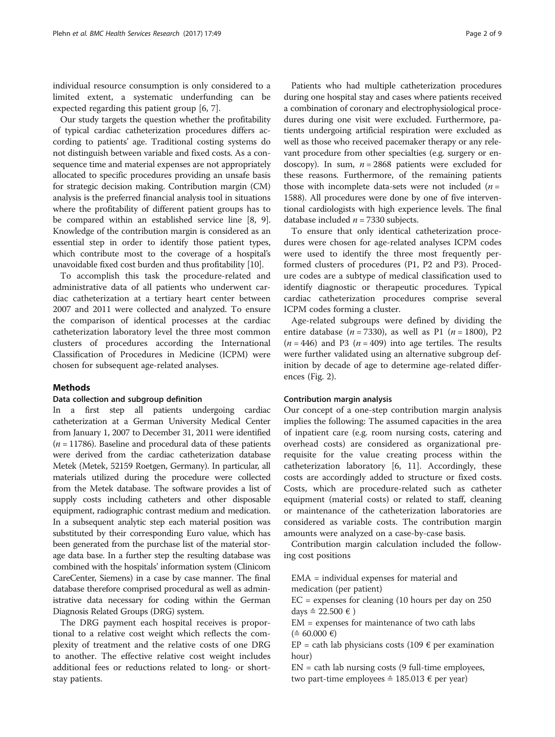individual resource consumption is only considered to a limited extent, a systematic underfunding can be expected regarding this patient group [[6](#page-7-0), [7](#page-7-0)].

Our study targets the question whether the profitability of typical cardiac catheterization procedures differs according to patients' age. Traditional costing systems do not distinguish between variable and fixed costs. As a consequence time and material expenses are not appropriately allocated to specific procedures providing an unsafe basis for strategic decision making. Contribution margin (CM) analysis is the preferred financial analysis tool in situations where the profitability of different patient groups has to be compared within an established service line [\[8](#page-7-0), [9](#page-7-0)]. Knowledge of the contribution margin is considered as an essential step in order to identify those patient types, which contribute most to the coverage of a hospital's unavoidable fixed cost burden and thus profitability [\[10\]](#page-7-0).

To accomplish this task the procedure-related and administrative data of all patients who underwent cardiac catheterization at a tertiary heart center between 2007 and 2011 were collected and analyzed. To ensure the comparison of identical processes at the cardiac catheterization laboratory level the three most common clusters of procedures according the International Classification of Procedures in Medicine (ICPM) were chosen for subsequent age-related analyses.

## Methods

## Data collection and subgroup definition

In a first step all patients undergoing cardiac catheterization at a German University Medical Center from January 1, 2007 to December 31, 2011 were identified  $(n = 11786)$ . Baseline and procedural data of these patients were derived from the cardiac catheterization database Metek (Metek, 52159 Roetgen, Germany). In particular, all materials utilized during the procedure were collected from the Metek database. The software provides a list of supply costs including catheters and other disposable equipment, radiographic contrast medium and medication. In a subsequent analytic step each material position was substituted by their corresponding Euro value, which has been generated from the purchase list of the material storage data base. In a further step the resulting database was combined with the hospitals' information system (Clinicom CareCenter, Siemens) in a case by case manner. The final database therefore comprised procedural as well as administrative data necessary for coding within the German Diagnosis Related Groups (DRG) system.

The DRG payment each hospital receives is proportional to a relative cost weight which reflects the complexity of treatment and the relative costs of one DRG to another. The effective relative cost weight includes additional fees or reductions related to long- or shortstay patients.

Patients who had multiple catheterization procedures during one hospital stay and cases where patients received a combination of coronary and electrophysiological procedures during one visit were excluded. Furthermore, patients undergoing artificial respiration were excluded as well as those who received pacemaker therapy or any relevant procedure from other specialties (e.g. surgery or endoscopy). In sum,  $n = 2868$  patients were excluded for these reasons. Furthermore, of the remaining patients those with incomplete data-sets were not included  $(n =$ 1588). All procedures were done by one of five interventional cardiologists with high experience levels. The final database included  $n = 7330$  subjects.

To ensure that only identical catheterization procedures were chosen for age-related analyses ICPM codes were used to identify the three most frequently performed clusters of procedures (P1, P2 and P3). Procedure codes are a subtype of medical classification used to identify diagnostic or therapeutic procedures. Typical cardiac catheterization procedures comprise several ICPM codes forming a cluster.

Age-related subgroups were defined by dividing the entire database ( $n = 7330$ ), as well as P1 ( $n = 1800$ ), P2  $(n = 446)$  and P3  $(n = 409)$  into age tertiles. The results were further validated using an alternative subgroup definition by decade of age to determine age-related differences (Fig. [2\)](#page-5-0).

#### Contribution margin analysis

Our concept of a one-step contribution margin analysis implies the following: The assumed capacities in the area of inpatient care (e.g. room nursing costs, catering and overhead costs) are considered as organizational prerequisite for the value creating process within the catheterization laboratory [[6](#page-7-0), [11](#page-7-0)]. Accordingly, these costs are accordingly added to structure or fixed costs. Costs, which are procedure-related such as catheter equipment (material costs) or related to staff, cleaning or maintenance of the catheterization laboratories are considered as variable costs. The contribution margin amounts were analyzed on a case-by-case basis.

Contribution margin calculation included the following cost positions

EMA = individual expenses for material and medication (per patient)

 $EC =$  expenses for cleaning (10 hours per day on 250 days  $≘ 22.500 €$ )

EM = expenses for maintenance of two cath labs  $($  ≙ 60.000 € $)$ 

 $EP = \text{cath}$  lab physicians costs (109  $\epsilon$  per examination hour)

 $EN = \text{cath}$  lab nursing costs (9 full-time employees, two part-time employees  $≐ 185.013 €$  per year)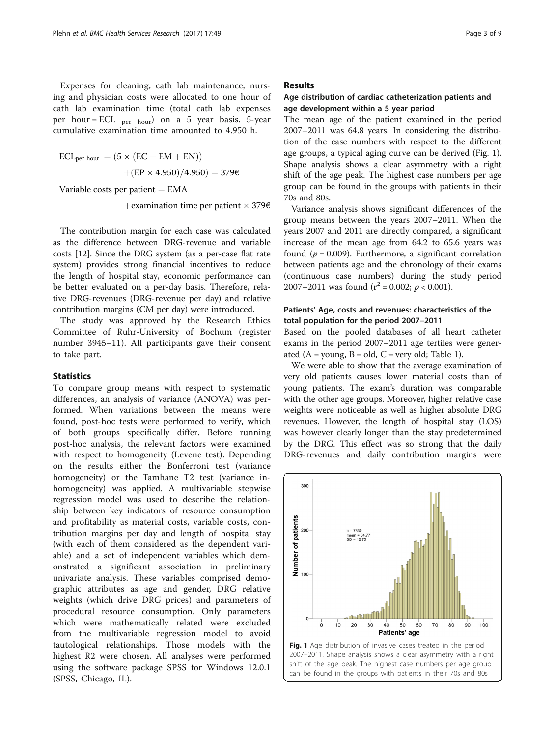Expenses for cleaning, cath lab maintenance, nursing and physician costs were allocated to one hour of cath lab examination time (total cath lab expenses per hour = ECL  $_{\text{per hour}}$  on a 5 year basis. 5-year cumulative examination time amounted to 4.950 h.

$$
ECL_{per\, hour} = (5 \times (EC + EM + EN))
$$

$$
+ (EP \times 4.950) / 4.950) = 3796
$$

Variable costs per patient  $= EMA$ 

+ examination time per patient  $\times$  379 $\epsilon$ 

The contribution margin for each case was calculated as the difference between DRG-revenue and variable costs [[12](#page-7-0)]. Since the DRG system (as a per-case flat rate system) provides strong financial incentives to reduce the length of hospital stay, economic performance can be better evaluated on a per-day basis. Therefore, relative DRG-revenues (DRG-revenue per day) and relative contribution margins (CM per day) were introduced.

The study was approved by the Research Ethics Committee of Ruhr-University of Bochum (register number 3945–11). All participants gave their consent to take part.

## **Statistics**

To compare group means with respect to systematic differences, an analysis of variance (ANOVA) was performed. When variations between the means were found, post-hoc tests were performed to verify, which of both groups specifically differ. Before running post-hoc analysis, the relevant factors were examined with respect to homogeneity (Levene test). Depending on the results either the Bonferroni test (variance homogeneity) or the Tamhane T2 test (variance inhomogeneity) was applied. A multivariable stepwise regression model was used to describe the relationship between key indicators of resource consumption and profitability as material costs, variable costs, contribution margins per day and length of hospital stay (with each of them considered as the dependent variable) and a set of independent variables which demonstrated a significant association in preliminary univariate analysis. These variables comprised demographic attributes as age and gender, DRG relative weights (which drive DRG prices) and parameters of procedural resource consumption. Only parameters which were mathematically related were excluded from the multivariable regression model to avoid tautological relationships. Those models with the highest R2 were chosen. All analyses were performed using the software package SPSS for Windows 12.0.1 (SPSS, Chicago, IL).

## Results

## Age distribution of cardiac catheterization patients and age development within a 5 year period

The mean age of the patient examined in the period 2007–2011 was 64.8 years. In considering the distribution of the case numbers with respect to the different age groups, a typical aging curve can be derived (Fig. 1). Shape analysis shows a clear asymmetry with a right shift of the age peak. The highest case numbers per age group can be found in the groups with patients in their 70s and 80s.

Variance analysis shows significant differences of the group means between the years 2007–2011. When the years 2007 and 2011 are directly compared, a significant increase of the mean age from 64.2 to 65.6 years was found ( $p = 0.009$ ). Furthermore, a significant correlation between patients age and the chronology of their exams (continuous case numbers) during the study period 2007–2011 was found  $(r^2 = 0.002; p < 0.001)$ .

## Patients' Age, costs and revenues: characteristics of the total population for the period 2007–2011

Based on the pooled databases of all heart catheter exams in the period 2007–2011 age tertiles were generated  $(A = young, B = old, C = very old; Table 1).$  $(A = young, B = old, C = very old; Table 1).$  $(A = young, B = old, C = very old; Table 1).$ 

We were able to show that the average examination of very old patients causes lower material costs than of young patients. The exam's duration was comparable with the other age groups. Moreover, higher relative case weights were noticeable as well as higher absolute DRG revenues. However, the length of hospital stay (LOS) was however clearly longer than the stay predetermined by the DRG. This effect was so strong that the daily DRG-revenues and daily contribution margins were



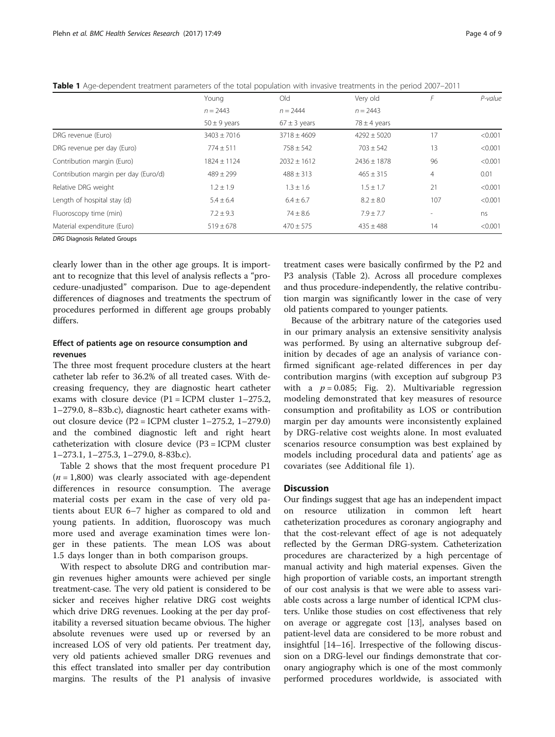|                                      | Young            | Old              | Very old         |                | P-value |
|--------------------------------------|------------------|------------------|------------------|----------------|---------|
|                                      | $n = 2443$       | $n = 2444$       | $n = 2443$       |                |         |
|                                      | $50 \pm 9$ years | $67 \pm 3$ years | $78 \pm 4$ years |                |         |
| DRG revenue (Euro)                   | $3403 \pm 7016$  | $3718 \pm 4609$  | $4292 \pm 5020$  | 17             | < 0.001 |
| DRG revenue per day (Euro)           | $774 \pm 511$    | $758 \pm 542$    | $703 \pm 542$    | 13             | < 0.001 |
| Contribution margin (Euro)           | $1824 + 1124$    | $2032 + 1612$    | $7436 + 1878$    | 96             | < 0.001 |
| Contribution margin per day (Euro/d) | $489 \pm 299$    | $488 \pm 313$    | $465 \pm 315$    | $\overline{4}$ | 0.01    |
| Relative DRG weight                  | $1.2 \pm 1.9$    | $1.3 \pm 1.6$    | $1.5 \pm 1.7$    | 21             | < 0.001 |
| Length of hospital stay (d)          | $5.4 \pm 6.4$    | $6.4 \pm 6.7$    | $8.2 \pm 8.0$    | 107            | < 0.001 |
| Fluoroscopy time (min)               | $7.2 \pm 9.3$    | $74 \pm 8.6$     | $7.9 \pm 7.7$    |                | ns      |
| Material expenditure (Euro)          | $519 \pm 678$    | $470 \pm 575$    | $435 \pm 488$    | 14             | < 0.001 |
|                                      |                  |                  |                  |                |         |

<span id="page-3-0"></span>Table 1 Age-dependent treatment parameters of the total population with invasive treatments in the period 2007–2011

DRG Diagnosis Related Groups

clearly lower than in the other age groups. It is important to recognize that this level of analysis reflects a "procedure-unadjusted" comparison. Due to age-dependent differences of diagnoses and treatments the spectrum of procedures performed in different age groups probably differs.

## Effect of patients age on resource consumption and revenues

The three most frequent procedure clusters at the heart catheter lab refer to 36.2% of all treated cases. With decreasing frequency, they are diagnostic heart catheter exams with closure device  $(P1 = ICPM$  cluster 1–275.2, 1–279.0, 8–83b.c), diagnostic heart catheter exams without closure device (P2 = ICPM cluster 1–275.2, 1–279.0) and the combined diagnostic left and right heart catheterization with closure device (P3 = ICPM cluster 1–273.1, 1–275.3, 1–279.0, 8-83b.c).

Table [2](#page-4-0) shows that the most frequent procedure P1  $(n = 1,800)$  was clearly associated with age-dependent differences in resource consumption. The average material costs per exam in the case of very old patients about EUR 6–7 higher as compared to old and young patients. In addition, fluoroscopy was much more used and average examination times were longer in these patients. The mean LOS was about 1.5 days longer than in both comparison groups.

With respect to absolute DRG and contribution margin revenues higher amounts were achieved per single treatment-case. The very old patient is considered to be sicker and receives higher relative DRG cost weights which drive DRG revenues. Looking at the per day profitability a reversed situation became obvious. The higher absolute revenues were used up or reversed by an increased LOS of very old patients. Per treatment day, very old patients achieved smaller DRG revenues and this effect translated into smaller per day contribution margins. The results of the P1 analysis of invasive

treatment cases were basically confirmed by the P2 and P3 analysis (Table [2\)](#page-4-0). Across all procedure complexes and thus procedure-independently, the relative contribution margin was significantly lower in the case of very old patients compared to younger patients.

Because of the arbitrary nature of the categories used in our primary analysis an extensive sensitivity analysis was performed. By using an alternative subgroup definition by decades of age an analysis of variance confirmed significant age-related differences in per day contribution margins (with exception auf subgroup P3 with a  $p = 0.085$ ; Fig. [2](#page-5-0)). Multivariable regression modeling demonstrated that key measures of resource consumption and profitability as LOS or contribution margin per day amounts were inconsistently explained by DRG-relative cost weights alone. In most evaluated scenarios resource consumption was best explained by models including procedural data and patients' age as covariates (see Additional file [1\)](#page-6-0).

## **Discussion**

Our findings suggest that age has an independent impact on resource utilization in common left heart catheterization procedures as coronary angiography and that the cost-relevant effect of age is not adequately reflected by the German DRG-system. Catheterization procedures are characterized by a high percentage of manual activity and high material expenses. Given the high proportion of variable costs, an important strength of our cost analysis is that we were able to assess variable costs across a large number of identical ICPM clusters. Unlike those studies on cost effectiveness that rely on average or aggregate cost [\[13](#page-7-0)], analyses based on patient-level data are considered to be more robust and insightful [[14](#page-7-0)–[16](#page-7-0)]. Irrespective of the following discussion on a DRG-level our findings demonstrate that coronary angiography which is one of the most commonly performed procedures worldwide, is associated with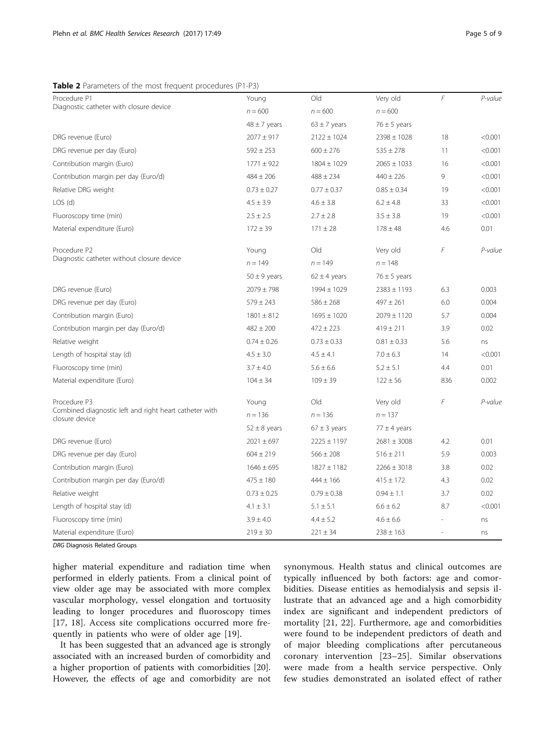## <span id="page-4-0"></span>Table 2 Parameters of the most frequent procedures (P1-P3)

| Procedure P1                                                             | Young            | Old              | Very old         | F   | P-value |
|--------------------------------------------------------------------------|------------------|------------------|------------------|-----|---------|
| Diagnostic catheter with closure device                                  | $n = 600$        | $n = 600$        | $n = 600$        |     |         |
|                                                                          | $48 \pm 7$ years | $63 \pm 7$ years | $76 \pm 5$ years |     |         |
| DRG revenue (Euro)                                                       | $2077 \pm 917$   | $2122 \pm 1024$  | $2398 \pm 1028$  | 18  | < 0.001 |
| DRG revenue per day (Euro)                                               | $592 \pm 253$    | $600 \pm 276$    | $535 \pm 278$    | 11  | < 0.001 |
| Contribution margin (Euro)                                               | $1771 \pm 922$   | $1804 \pm 1029$  | $2065 \pm 1033$  | 16  | < 0.001 |
| Contribution margin per day (Euro/d)                                     | $484 \pm 206$    | $488 \pm 234$    | $440 \pm 226$    | 9   | < 0.001 |
| Relative DRG weight                                                      | $0.73 \pm 0.27$  | $0.77 \pm 0.37$  | $0.85 \pm 0.34$  | 19  | < 0.001 |
| LOS(d)                                                                   | $4.5 \pm 3.9$    | $4.6 \pm 3.8$    | $6.2 \pm 4.8$    | 33  | < 0.001 |
| Fluoroscopy time (min)                                                   | $2.5 \pm 2.5$    | $2.7 \pm 2.8$    | $3.5 \pm 3.8$    | 19  | < 0.001 |
| Material expenditure (Euro)                                              | $172 \pm 39$     | $171 \pm 28$     | $178 \pm 48$     | 4.6 | 0.01    |
| Procedure P2                                                             | Young            | Old              | Very old         | F   | P-value |
| Diagnostic catheter without closure device                               | $n = 149$        | $n = 149$        | $n = 148$        |     |         |
|                                                                          | $50 \pm 9$ years | $62 \pm 4$ years | $76 \pm 5$ years |     |         |
| DRG revenue (Euro)                                                       | $2079 \pm 798$   | 1994 ± 1029      | $2383 \pm 1193$  | 6.3 | 0.003   |
| DRG revenue per day (Euro)                                               | $579 \pm 243$    | $586 \pm 268$    | $497 \pm 261$    | 6.0 | 0.004   |
| Contribution margin (Euro)                                               | $1801 \pm 812$   | $1695 \pm 1020$  | $2079 \pm 1120$  | 5.7 | 0.004   |
| Contribution margin per day (Euro/d)                                     | $482 \pm 200$    | $472 \pm 223$    | $419 \pm 211$    | 3.9 | 0.02    |
| Relative weight                                                          | $0.74 \pm 0.26$  | $0.73 \pm 0.33$  | $0.81 \pm 0.33$  | 5.6 | ns      |
| Length of hospital stay (d)                                              | $4.5 \pm 3.0$    | $4.5 \pm 4.1$    | $7.0 \pm 6.3$    | 14  | < 0.001 |
| Fluoroscopy time (min)                                                   | $3.7 \pm 4.0$    | $5.6 \pm 6.6$    | $5.2 \pm 5.1$    | 4.4 | 0.01    |
| Material expenditure (Euro)                                              | $104 \pm 34$     | $109 \pm 39$     | $122 \pm 56$     | 836 | 0.002   |
| Procedure P3                                                             | Young            | Old              | Very old         | F   | P-value |
| Combined diagnostic left and right heart catheter with<br>closure device | $n = 136$        | $n = 136$        | $n = 137$        |     |         |
|                                                                          | $52 \pm 8$ years | $67 \pm 3$ years | $77 \pm 4$ years |     |         |
| DRG revenue (Euro)                                                       | $2021 \pm 697$   | $2225 \pm 1197$  | $2681 \pm 3008$  | 4.2 | 0.01    |
| DRG revenue per day (Euro)                                               | $604 \pm 219$    | $566 \pm 208$    | $516 \pm 211$    | 5.9 | 0.003   |
| Contribution margin (Euro)                                               | $1646 \pm 695$   | $1827 \pm 1182$  | $2266 \pm 3018$  | 3.8 | 0.02    |
| Contribution margin per day (Euro/d)                                     | $475 \pm 180$    | $444 \pm 166$    | $415 \pm 172$    | 4.3 | 0.02    |
| Relative weight                                                          | $0.73 \pm 0.25$  | $0.79 \pm 0.38$  | $0.94 \pm 1.1$   | 3.7 | 0.02    |
| Length of hospital stay (d)                                              | $4.1 \pm 3.1$    | $5.1 \pm 5.1$    | $6.6 \pm 6.2$    | 8.7 | < 0.001 |
| Fluoroscopy time (min)                                                   | $3.9 \pm 4.0$    | $4.4 \pm 5.2$    | $4.6 \pm 6.6$    |     | ns      |

Material expenditure (Euro)  $219 \pm 30$   $221 \pm 34$   $238 \pm 163$  - ns

DRG Diagnosis Related Groups

higher material expenditure and radiation time when performed in elderly patients. From a clinical point of view older age may be associated with more complex vascular morphology, vessel elongation and tortuosity leading to longer procedures and fluoroscopy times [[17, 18](#page-7-0)]. Access site complications occurred more frequently in patients who were of older age [\[19](#page-7-0)].

It has been suggested that an advanced age is strongly associated with an increased burden of comorbidity and a higher proportion of patients with comorbidities [\[20](#page-7-0)]. However, the effects of age and comorbidity are not

synonymous. Health status and clinical outcomes are typically influenced by both factors: age and comorbidities. Disease entities as hemodialysis and sepsis illustrate that an advanced age and a high comorbidity index are significant and independent predictors of mortality [[21, 22](#page-7-0)]. Furthermore, age and comorbidities were found to be independent predictors of death and of major bleeding complications after percutaneous coronary intervention [[23](#page-7-0)–[25\]](#page-7-0). Similar observations were made from a health service perspective. Only few studies demonstrated an isolated effect of rather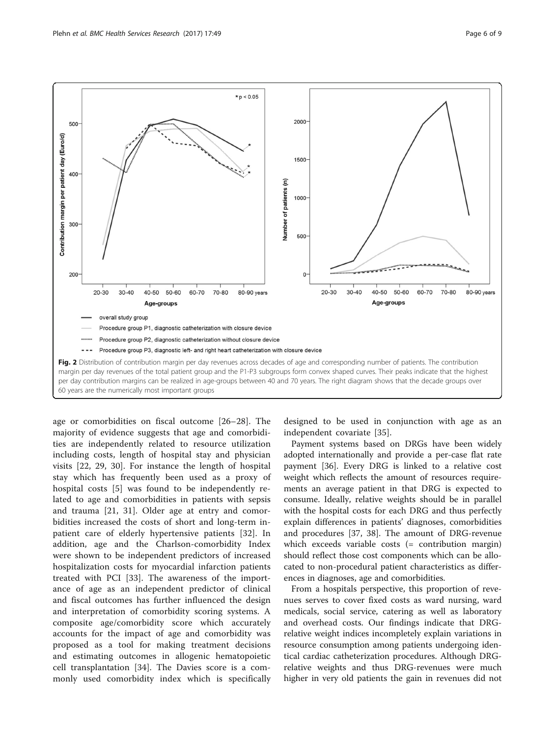500

400

300

<span id="page-5-0"></span>



age or comorbidities on fiscal outcome [[26](#page-7-0)–[28\]](#page-7-0). The majority of evidence suggests that age and comorbidities are independently related to resource utilization including costs, length of hospital stay and physician visits [\[22](#page-7-0), [29](#page-8-0), [30](#page-8-0)]. For instance the length of hospital stay which has frequently been used as a proxy of hospital costs [[5\]](#page-7-0) was found to be independently related to age and comorbidities in patients with sepsis and trauma [[21,](#page-7-0) [31](#page-8-0)]. Older age at entry and comorbidities increased the costs of short and long-term inpatient care of elderly hypertensive patients [[32\]](#page-8-0). In addition, age and the Charlson-comorbidity Index were shown to be independent predictors of increased hospitalization costs for myocardial infarction patients treated with PCI [\[33](#page-8-0)]. The awareness of the importance of age as an independent predictor of clinical and fiscal outcomes has further influenced the design and interpretation of comorbidity scoring systems. A composite age/comorbidity score which accurately accounts for the impact of age and comorbidity was proposed as a tool for making treatment decisions and estimating outcomes in allogenic hematopoietic cell transplantation [\[34](#page-8-0)]. The Davies score is a commonly used comorbidity index which is specifically

designed to be used in conjunction with age as an independent covariate [[35](#page-8-0)].

Payment systems based on DRGs have been widely adopted internationally and provide a per-case flat rate payment [\[36](#page-8-0)]. Every DRG is linked to a relative cost weight which reflects the amount of resources requirements an average patient in that DRG is expected to consume. Ideally, relative weights should be in parallel with the hospital costs for each DRG and thus perfectly explain differences in patients' diagnoses, comorbidities and procedures [\[37, 38](#page-8-0)]. The amount of DRG-revenue which exceeds variable costs (= contribution margin) should reflect those cost components which can be allocated to non-procedural patient characteristics as differences in diagnoses, age and comorbidities.

From a hospitals perspective, this proportion of revenues serves to cover fixed costs as ward nursing, ward medicals, social service, catering as well as laboratory and overhead costs. Our findings indicate that DRGrelative weight indices incompletely explain variations in resource consumption among patients undergoing identical cardiac catheterization procedures. Although DRGrelative weights and thus DRG-revenues were much higher in very old patients the gain in revenues did not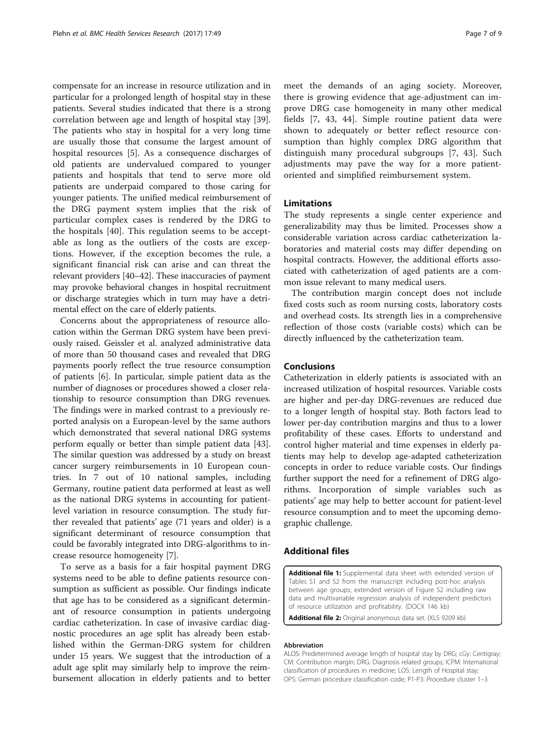<span id="page-6-0"></span>compensate for an increase in resource utilization and in particular for a prolonged length of hospital stay in these patients. Several studies indicated that there is a strong correlation between age and length of hospital stay [\[39](#page-8-0)]. The patients who stay in hospital for a very long time are usually those that consume the largest amount of hospital resources [[5\]](#page-7-0). As a consequence discharges of old patients are undervalued compared to younger patients and hospitals that tend to serve more old patients are underpaid compared to those caring for younger patients. The unified medical reimbursement of the DRG payment system implies that the risk of particular complex cases is rendered by the DRG to the hospitals [[40\]](#page-8-0). This regulation seems to be acceptable as long as the outliers of the costs are exceptions. However, if the exception becomes the rule, a significant financial risk can arise and can threat the relevant providers [\[40](#page-8-0)–[42\]](#page-8-0). These inaccuracies of payment may provoke behavioral changes in hospital recruitment or discharge strategies which in turn may have a detrimental effect on the care of elderly patients.

Concerns about the appropriateness of resource allocation within the German DRG system have been previously raised. Geissler et al. analyzed administrative data of more than 50 thousand cases and revealed that DRG payments poorly reflect the true resource consumption of patients [\[6](#page-7-0)]. In particular, simple patient data as the number of diagnoses or procedures showed a closer relationship to resource consumption than DRG revenues. The findings were in marked contrast to a previously reported analysis on a European-level by the same authors which demonstrated that several national DRG systems perform equally or better than simple patient data [\[43](#page-8-0)]. The similar question was addressed by a study on breast cancer surgery reimbursements in 10 European countries. In 7 out of 10 national samples, including Germany, routine patient data performed at least as well as the national DRG systems in accounting for patientlevel variation in resource consumption. The study further revealed that patients' age (71 years and older) is a significant determinant of resource consumption that could be favorably integrated into DRG-algorithms to increase resource homogeneity [\[7](#page-7-0)].

To serve as a basis for a fair hospital payment DRG systems need to be able to define patients resource consumption as sufficient as possible. Our findings indicate that age has to be considered as a significant determinant of resource consumption in patients undergoing cardiac catheterization. In case of invasive cardiac diagnostic procedures an age split has already been established within the German-DRG system for children under 15 years. We suggest that the introduction of a adult age split may similarly help to improve the reimbursement allocation in elderly patients and to better meet the demands of an aging society. Moreover, there is growing evidence that age-adjustment can improve DRG case homogeneity in many other medical fields [[7](#page-7-0), [43](#page-8-0), [44\]](#page-8-0). Simple routine patient data were shown to adequately or better reflect resource consumption than highly complex DRG algorithm that distinguish many procedural subgroups [[7,](#page-7-0) [43](#page-8-0)]. Such adjustments may pave the way for a more patientoriented and simplified reimbursement system.

## Limitations

The study represents a single center experience and generalizability may thus be limited. Processes show a considerable variation across cardiac catheterization laboratories and material costs may differ depending on hospital contracts. However, the additional efforts associated with catheterization of aged patients are a common issue relevant to many medical users.

The contribution margin concept does not include fixed costs such as room nursing costs, laboratory costs and overhead costs. Its strength lies in a comprehensive reflection of those costs (variable costs) which can be directly influenced by the catheterization team.

## Conclusions

Catheterization in elderly patients is associated with an increased utilization of hospital resources. Variable costs are higher and per-day DRG-revenues are reduced due to a longer length of hospital stay. Both factors lead to lower per-day contribution margins and thus to a lower profitability of these cases. Efforts to understand and control higher material and time expenses in elderly patients may help to develop age-adapted catheterization concepts in order to reduce variable costs. Our findings further support the need for a refinement of DRG algorithms. Incorporation of simple variables such as patients' age may help to better account for patient-level resource consumption and to meet the upcoming demographic challenge.

## Additional files

[Additional file 1:](dx.doi.org/10.1186/s12913-017-1999-4) Supplemental data sheet with extended version of Tables S1 and S2 from the manuscript including post-hoc analysis between age groups; extended version of Figure S2 including raw data and multivariable regression analysis of independent predictors of resource utilization and profitability. (DOCX 146 kb)

[Additional file 2:](dx.doi.org/10.1186/s12913-017-1999-4) Original anonymous data set. (XLS 9209 kb)

#### Abbreviation

ALOS: Predetermined average length of hospital stay by DRG; cGy: Centigray; CM: Contribution margin; DRG: Diagnosis related groups; ICPM: International classification of procedures in medicine; LOS: Length of Hospital stay; OPS: German procedure classification code; P1-P3: Procedure cluster 1–3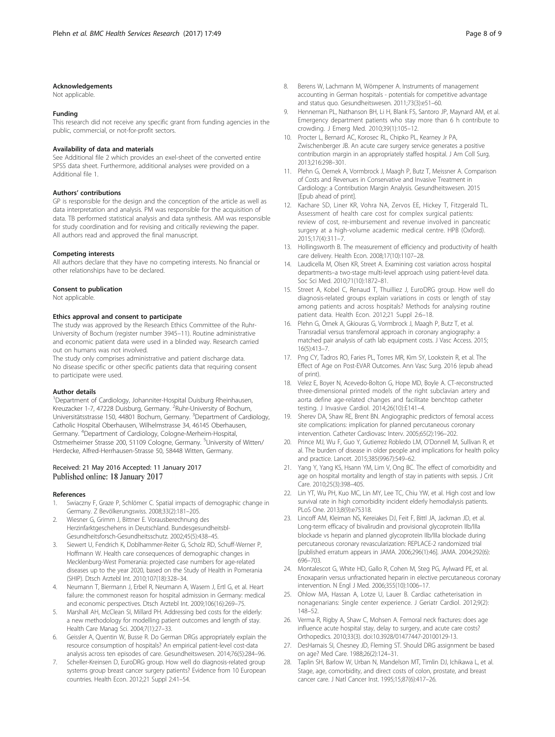## <span id="page-7-0"></span>Acknowledgements

Not applicable.

#### Funding

This research did not receive any specific grant from funding agencies in the public, commercial, or not-for-profit sectors.

#### Availability of data and materials

See Additional file [2](#page-6-0) which provides an exel-sheet of the converted entire SPSS data sheet. Furthermore, additional analyses were provided on a Additional file [1](#page-6-0).

#### Authors' contributions

GP is responsible for the design and the conception of the article as well as data interpretation and analysis. PM was responsible for the acquisition of data. TB performed statistical analysis and data synthesis. AM was responsible for study coordination and for revising and critically reviewing the paper. All authors read and approved the final manuscript.

#### Competing interests

All authors declare that they have no competing interests. No financial or other relationships have to be declared.

#### Consent to publication

Not applicable.

#### Ethics approval and consent to participate

The study was approved by the Research Ethics Committee of the Ruhr-University of Bochum (register number 3945–11). Routine administrative and economic patient data were used in a blinded way. Research carried out on humans was not involved.

The study only comprises administrative and patient discharge data. No disease specific or other specific patients data that requiring consent to participate were used.

#### Author details

<sup>1</sup>Department of Cardiology, Johanniter-Hospital Duisburg Rheinhausen, Kreuzacker 1-7, 47228 Duisburg, Germany. <sup>2</sup>Ruhr-University of Bochum, Universitätsstrasse 150, 44801 Bochum, Germany. <sup>3</sup>Department of Cardiology, Catholic Hospital Oberhausen, Wilhelmstrasse 34, 46145 Oberhausen, Germany. <sup>4</sup> Department of Cardiology, Cologne-Merheim-Hospital, Ostmerheimer Strasse 200, 51109 Cologne, Germany. <sup>5</sup>University of Witten/ Herdecke, Alfred-Herrhausen-Strasse 50, 58448 Witten, Germany.

#### Received: 21 May 2016 Accepted: 11 January 2017 Published online: 18 January 2017

#### References

- 1. Swiaczny F, Graze P, Schlömer C. Spatial impacts of demographic change in Germany. Z Bevölkerungswiss. 2008;33(2):181–205.
- 2. Wiesner G, Grimm J, Bittner E. Vorausberechnung des Herzinfarktgeschehens in Deutschland. Bundesgesundheitsbl-Gesundheitsforsch-Gesundheitsschutz. 2002;45(5):438–45.
- Siewert U, Fendrich K, Doblhammer-Reiter G, Scholz RD, Schuff-Werner P, Hoffmann W. Health care consequences of demographic changes in Mecklenburg-West Pomerania: projected case numbers for age-related diseases up to the year 2020, based on the Study of Health in Pomerania (SHIP). Dtsch Arztebl Int. 2010;107(18):328–34.
- 4. Neumann T, Biermann J, Erbel R, Neumann A, Wasem J, Ertl G, et al. Heart failure: the commonest reason for hospital admission in Germany: medical and economic perspectives. Dtsch Arztebl Int. 2009;106(16):269–75.
- 5. Marshall AH, McClean SI, Millard PH. Addressing bed costs for the elderly: a new methodology for modelling patient outcomes and length of stay. Health Care Manag Sci. 2004;7(1):27–33.
- 6. Geissler A, Quentin W, Busse R. Do German DRGs appropriately explain the resource consumption of hospitals? An empirical patient-level cost-data analysis across ten episodes of care. Gesundheitswesen. 2014;76(5):284–96.
- 7. Scheller-Kreinsen D, EuroDRG group. How well do diagnosis-related group systems group breast cancer surgery patients? Evidence from 10 European countries. Health Econ. 2012;21 Suppl 2:41–54.
- 8. Berens W, Lachmann M, Wömpener A. Instruments of management accounting in German hospitals - potentials for competitive advantage and status quo. Gesundheitswesen. 2011;73(3):e51–60.
- Henneman PL, Nathanson BH, Li H, Blank FS, Santoro JP, Maynard AM, et al. Emergency department patients who stay more than 6 h contribute to crowding. J Emerg Med. 2010;39(1):105–12.
- 10. Procter L, Bernard AC, Korosec RL, Chipko PL, Kearney Jr PA, Zwischenberger JB. An acute care surgery service generates a positive contribution margin in an appropriately staffed hospital. J Am Coll Surg. 2013;216:298–301.
- 11. Plehn G, Oernek A, Vormbrock J, Maagh P, Butz T, Meissner A. Comparison of Costs and Revenues in Conservative and Invasive Treatment in Cardiology: a Contribution Margin Analysis. Gesundheitswesen. 2015 [Epub ahead of print].
- 12. Kachare SD, Liner KR, Vohra NA, Zervos EE, Hickey T, Fitzgerald TL. Assessment of health care cost for complex surgical patients: review of cost, re-imbursement and revenue involved in pancreatic surgery at a high-volume academic medical centre. HPB (Oxford). 2015;17(4):311–7.
- 13. Hollingsworth B. The measurement of efficiency and productivity of health care delivery. Health Econ. 2008;17(10):1107–28.
- 14. Laudicella M, Olsen KR, Street A. Examining cost variation across hospital departments–a two-stage multi-level approach using patient-level data. Soc Sci Med. 2010;71(10):1872–81.
- 15. Street A, Kobel C, Renaud T, Thuilliez J, EuroDRG group. How well do diagnosis-related groups explain variations in costs or length of stay among patients and across hospitals? Methods for analysing routine patient data. Health Econ. 2012;21 Suppl 2:6–18.
- 16. Plehn G, Örnek A, Gkiouras G, Vormbrock J, Maagh P, Butz T, et al. Transradial versus transfemoral approach in coronary angiography: a matched pair analysis of cath lab equipment costs. J Vasc Access. 2015; 16(5):413–7.
- 17. Png CY, Tadros RO, Faries PL, Torres MR, Kim SY, Lookstein R, et al. The Effect of Age on Post-EVAR Outcomes. Ann Vasc Surg. 2016 (epub ahead of print).
- 18. Velez E, Boyer N, Acevedo-Bolton G, Hope MD, Boyle A. CT-reconstructed three-dimensional printed models of the right subclavian artery and aorta define age-related changes and facilitate benchtop catheter testing. J Invasive Cardiol. 2014;26(10):E141–4.
- 19. Sherev DA, Shaw RE, Brent BN. Angiographic predictors of femoral access site complications: implication for planned percutaneous coronary intervention. Catheter Cardiovasc Interv. 2005;65(2):196–202.
- 20. Prince MJ, Wu F, Guo Y, Gutierrez Robledo LM, O'Donnell M, Sullivan R, et al. The burden of disease in older people and implications for health policy and practice. Lancet. 2015;385(9967):549–62.
- 21. Yang Y, Yang KS, Hsann YM, Lim V, Ong BC. The effect of comorbidity and age on hospital mortality and length of stay in patients with sepsis. J Crit Care. 2010;25(3):398–405.
- 22. Lin YT, Wu PH, Kuo MC, Lin MY, Lee TC, Chiu YW, et al. High cost and low survival rate in high comorbidity incident elderly hemodialysis patients. PLoS One. 2013;8(9):e75318.
- 23. Lincoff AM, Kleiman NS, Kereiakes DJ, Feit F, Bittl JA, Jackman JD, et al. Long-term efficacy of bivalirudin and provisional glycoprotein IIb/IIIa blockade vs heparin and planned glycoprotein IIb/IIIa blockade during percutaneous coronary revascularization: REPLACE-2 randomized trial [published erratum appears in JAMA. 2006;296(1):46]. JAMA. 2004;292(6): 696–703.
- 24. Montalescot G, White HD, Gallo R, Cohen M, Steg PG, Aylward PE, et al. Enoxaparin versus unfractionated heparin in elective percutaneous coronary intervention. N Engl J Med. 2006;355(10):1006–17.
- 25. Ohlow MA, Hassan A, Lotze U, Lauer B. Cardiac catheterisation in nonagenarians: Single center experience. J Geriatr Cardiol. 2012;9(2): 148–52.
- 26. Verma R, Rigby A, Shaw C, Mohsen A. Femoral neck fractures: does age influence acute hospital stay, delay to surgery, and acute care costs? Orthopedics. 2010;33(3). doi[:10.3928/01477447-20100129-13](http://dx.doi.org/10.3928/01477447-20100129-13).
- 27. DesHarnais SI, Chesney JD, Fleming ST. Should DRG assignment be based on age? Med Care. 1988;26(2):124–31.
- 28. Taplin SH, Barlow W, Urban N, Mandelson MT, Timlin DJ, Ichikawa L, et al. Stage, age, comorbidity, and direct costs of colon, prostate, and breast cancer care. J Natl Cancer Inst. 1995;15;87(6):417–26.